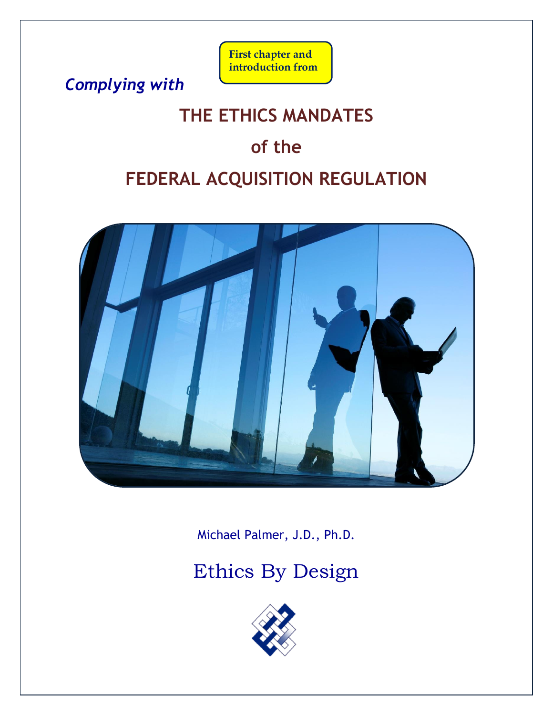*Complying with* 

## **First chapter and introduction from**

# **THE ETHICS MANDATES**

# **of the**

# **FEDERAL ACQUISITION REGULATION**



Michael Palmer, J.D., Ph.D.

# [Ethics By Design](http://www.ethicsbydesign.com/)

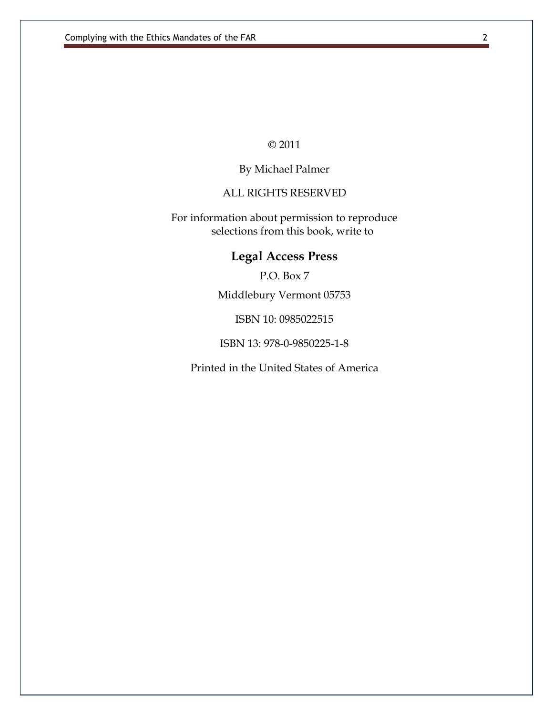© 2011

#### By Michael Palmer

#### ALL RIGHTS RESERVED

For information about permission to reproduce selections from this book, write to

## **Legal Access Press**

P.O. Box 7

Middlebury Vermont 05753

ISBN 10: 0985022515

ISBN 13: 978-0-9850225-1-8

Printed in the United States of America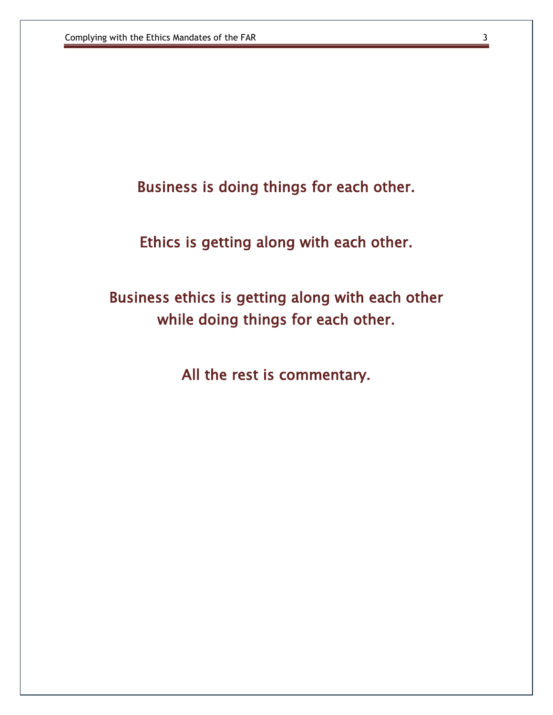Business is doing things for each other.

Ethics is getting along with each other.

Business ethics is getting along with each other while doing things for each other.

All the rest is commentary.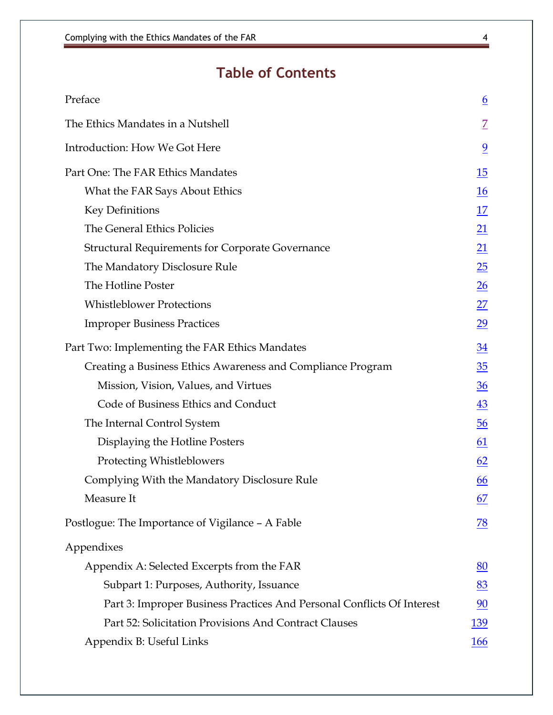## **Table of Contents**

| Preface                                                                | $\underline{6}$  |
|------------------------------------------------------------------------|------------------|
| The Ethics Mandates in a Nutshell                                      | Ζ                |
| Introduction: How We Got Here                                          | $\overline{9}$   |
| Part One: The FAR Ethics Mandates                                      | 15               |
| What the FAR Says About Ethics                                         | <b>16</b>        |
| <b>Key Definitions</b>                                                 | 17               |
| The General Ethics Policies                                            | <u> 21</u>       |
| <b>Structural Requirements for Corporate Governance</b>                | $\underline{21}$ |
| The Mandatory Disclosure Rule                                          | $\underline{25}$ |
| The Hotline Poster                                                     | $\frac{26}{5}$   |
| <b>Whistleblower Protections</b>                                       | 27               |
| <b>Improper Business Practices</b>                                     | $\overline{29}$  |
| Part Two: Implementing the FAR Ethics Mandates                         | 34               |
| Creating a Business Ethics Awareness and Compliance Program            | $\frac{35}{5}$   |
| Mission, Vision, Values, and Virtues                                   | 36               |
| Code of Business Ethics and Conduct                                    | $\underline{43}$ |
| The Internal Control System                                            | $\overline{56}$  |
| Displaying the Hotline Posters                                         | 61               |
| Protecting Whistleblowers                                              | 62               |
| Complying With the Mandatory Disclosure Rule                           | 66               |
| Measure It                                                             | 67               |
| Postlogue: The Importance of Vigilance - A Fable                       | 78               |
| Appendixes                                                             |                  |
| Appendix A: Selected Excerpts from the FAR                             | 80               |
| Subpart 1: Purposes, Authority, Issuance                               | 83               |
| Part 3: Improper Business Practices And Personal Conflicts Of Interest | 90               |
| Part 52: Solicitation Provisions And Contract Clauses                  | 139              |
| Appendix B: Useful Links                                               | <b>166</b>       |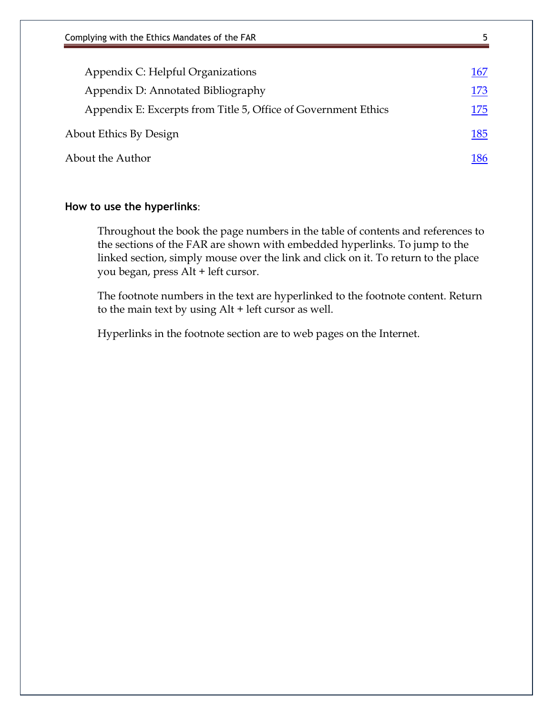| Complying with the Ethics Mandates of the FAR                  | 5   |
|----------------------------------------------------------------|-----|
|                                                                |     |
| Appendix C: Helpful Organizations                              | 167 |
| Appendix D: Annotated Bibliography                             | 173 |
| Appendix E: Excerpts from Title 5, Office of Government Ethics | 175 |
| About Ethics By Design                                         | 185 |
| About the Author                                               | 186 |

#### **How to use the hyperlinks**:

Throughout the book the page numbers in the table of contents and references to the sections of the FAR are shown with embedded hyperlinks. To jump to the linked section, simply mouse over the link and click on it. To return to the place you began, press Alt + left cursor.

The footnote numbers in the text are hyperlinked to the footnote content. Return to the main text by using Alt + left cursor as well.

Hyperlinks in the footnote section are to web pages on the Internet.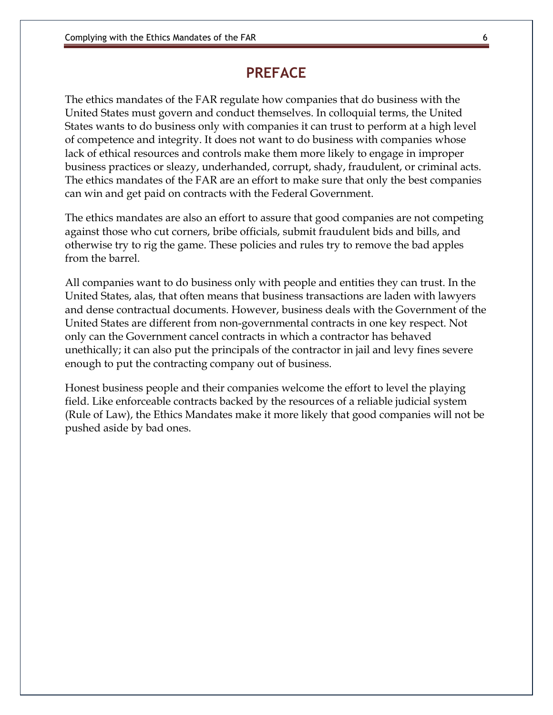#### **PREFACE**

<span id="page-5-0"></span>The ethics mandates of the FAR regulate how companies that do business with the United States must govern and conduct themselves. In colloquial terms, the United States wants to do business only with companies it can trust to perform at a high level of competence and integrity. It does not want to do business with companies whose lack of ethical resources and controls make them more likely to engage in improper business practices or sleazy, underhanded, corrupt, shady, fraudulent, or criminal acts. The ethics mandates of the FAR are an effort to make sure that only the best companies can win and get paid on contracts with the Federal Government.

The ethics mandates are also an effort to assure that good companies are not competing against those who cut corners, bribe officials, submit fraudulent bids and bills, and otherwise try to rig the game. These policies and rules try to remove the bad apples from the barrel.

All companies want to do business only with people and entities they can trust. In the United States, alas, that often means that business transactions are laden with lawyers and dense contractual documents. However, business deals with the Government of the United States are different from non-governmental contracts in one key respect. Not only can the Government cancel contracts in which a contractor has behaved unethically; it can also put the principals of the contractor in jail and levy fines severe enough to put the contracting company out of business.

Honest business people and their companies welcome the effort to level the playing field. Like enforceable contracts backed by the resources of a reliable judicial system (Rule of Law), the Ethics Mandates make it more likely that good companies will not be pushed aside by bad ones.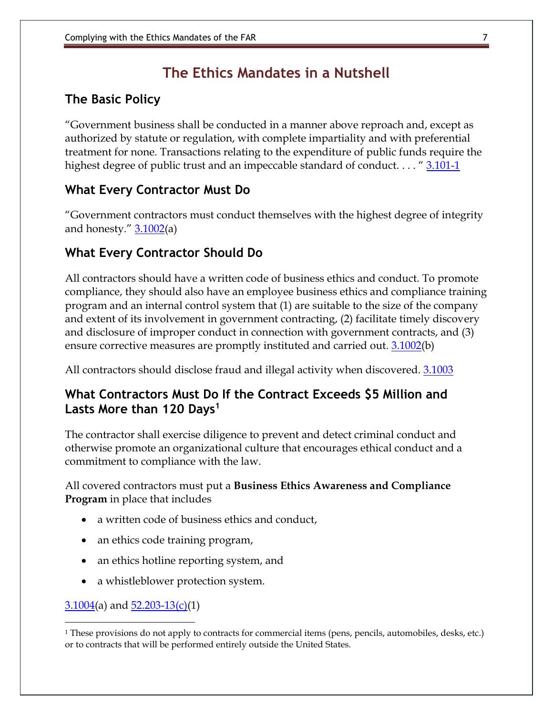## **The Ethics Mandates in a Nutshell**

### <span id="page-6-0"></span>**The Basic Policy**

"Government business shall be conducted in a manner above reproach and, except as authorized by statute or regulation, with complete impartiality and with preferential treatment for none. Transactions relating to the expenditure of public funds require the highest degree of public trust and an impeccable standard of conduct. . . . " 3.101-1

### **What Every Contractor Must Do**

"Government contractors must conduct themselves with the highest degree of integrity and honesty."  $3.1002(a)$ 

#### **What Every Contractor Should Do**

All contractors should have a written code of business ethics and conduct. To promote compliance, they should also have an employee business ethics and compliance training program and an internal control system that (1) are suitable to the size of the company and extent of its involvement in government contracting, (2) facilitate timely discovery and disclosure of improper conduct in connection with government contracts, and (3) ensure corrective measures are promptly instituted and carried out. 3.1002(b)

All contractors should disclose fraud and illegal activity when discovered. 3.1003

#### **What Contractors Must Do If the Contract Exceeds \$5 Million and Lasts More than 120 Days<sup>1</sup>**

The contractor shall exercise diligence to prevent and detect criminal conduct and otherwise promote an organizational culture that encourages ethical conduct and a commitment to compliance with the law.

All covered contractors must put a **Business Ethics Awareness and Compliance Program** in place that includes

- a written code of business ethics and conduct,
- an ethics code training program,
- an ethics hotline reporting system, and
- a whistleblower protection system.

 $3.1004(a)$  and  $52.203-13(c)(1)$ 

 $\overline{a}$ 

<sup>1</sup> These provisions do not apply to contracts for commercial items (pens, pencils, automobiles, desks, etc.) or to contracts that will be performed entirely outside the United States.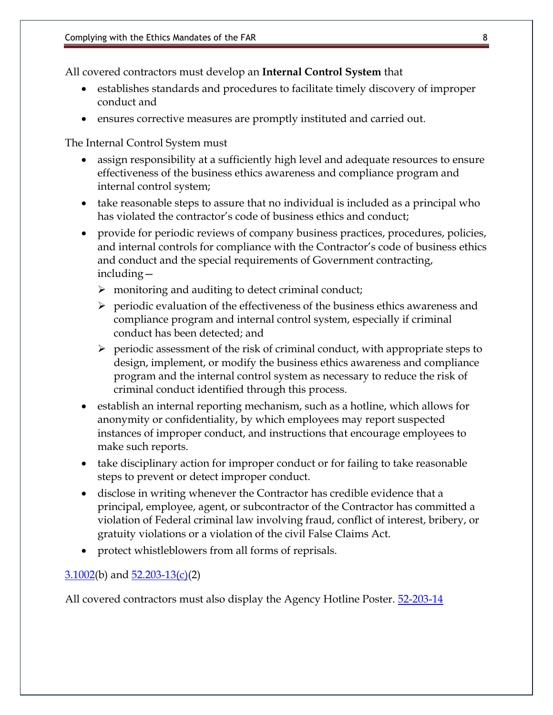All covered contractors must develop an **Internal Control System** that

- establishes standards and procedures to facilitate timely discovery of improper conduct and
- ensures corrective measures are promptly instituted and carried out.

The Internal Control System must

- assign responsibility at a sufficiently high level and adequate resources to ensure effectiveness of the business ethics awareness and compliance program and internal control system;
- take reasonable steps to assure that no individual is included as a principal who has violated the contractor's code of business ethics and conduct;
- provide for periodic reviews of company business practices, procedures, policies, and internal controls for compliance with the Contractor's code of business ethics and conduct and the special requirements of Government contracting, including—
	- ➢ monitoring and auditing to detect criminal conduct;
	- $\triangleright$  periodic evaluation of the effectiveness of the business ethics awareness and compliance program and internal control system, especially if criminal conduct has been detected; and
	- $\triangleright$  periodic assessment of the risk of criminal conduct, with appropriate steps to design, implement, or modify the business ethics awareness and compliance program and the internal control system as necessary to reduce the risk of criminal conduct identified through this process.
- establish an internal reporting mechanism, such as a hotline, which allows for anonymity or confidentiality, by which employees may report suspected instances of improper conduct, and instructions that encourage employees to make such reports.
- take disciplinary action for improper conduct or for failing to take reasonable steps to prevent or detect improper conduct.
- disclose in writing whenever the Contractor has credible evidence that a principal, employee, agent, or subcontractor of the Contractor has committed a violation of Federal criminal law involving fraud, conflict of interest, bribery, or gratuity violations or a violation of the civil False Claims Act.
- protect whistleblowers from all forms of reprisals.

#### $3.1002(b)$  and  $52.203-13(c)(2)$

All covered contractors must also display the Agency Hotline Poster. 52-203-14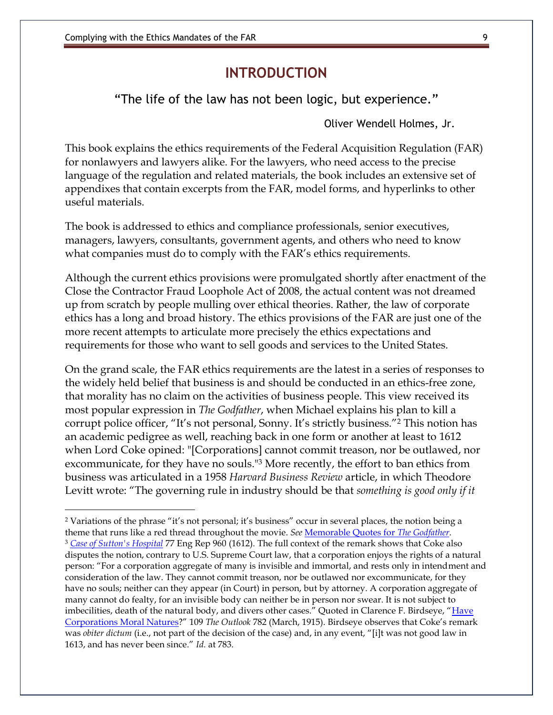### **INTRODUCTION**

<span id="page-8-0"></span>"The life of the law has not been logic, but experience."

Oliver Wendell Holmes, Jr.

This book explains the ethics requirements of the Federal Acquisition Regulation (FAR) for nonlawyers and lawyers alike. For the lawyers, who need access to the precise language of the regulation and related materials, the book includes an extensive set of appendixes that contain excerpts from the FAR, model forms, and hyperlinks to other useful materials.

The book is addressed to ethics and compliance professionals, senior executives, managers, lawyers, consultants, government agents, and others who need to know what companies must do to comply with the FAR's ethics requirements.

Although the current ethics provisions were promulgated shortly after enactment of the Close the Contractor Fraud Loophole Act of 2008, the actual content was not dreamed up from scratch by people mulling over ethical theories. Rather, the law of corporate ethics has a long and broad history. The ethics provisions of the FAR are just one of the more recent attempts to articulate more precisely the ethics expectations and requirements for those who want to sell goods and services to the United States.

On the grand scale, the FAR ethics requirements are the latest in a series of responses to the widely held belief that business is and should be conducted in an ethics-free zone, that morality has no claim on the activities of business people. This view received its most popular expression in *The Godfather*, when Michael explains his plan to kill a corrupt police officer, "It's not personal, Sonny. It's strictly business."<sup>2</sup> This notion has an academic pedigree as well, reaching back in one form or another at least to 1612 when Lord Coke opined: "[Corporations] cannot commit treason, nor be outlawed, nor excommunicate, for they have no souls."<sup>3</sup> More recently, the effort to ban ethics from business was articulated in a 1958 *Harvard Business Review* article, in which Theodore Levitt wrote: "The governing rule in industry should be that *something is good only if it* 

<sup>2</sup> Variations of the phrase "it's not personal; it's business" occur in several places, the notion being a theme that runs like a red thread throughout the movie. *See* [Memorable Quotes for](http://www.imdb.com/title/tt0068646/quotes) *The Godfather*. <sup>3</sup> *[Case of Sutton's Hospital](http://en.wikipedia.org/wiki/Case_of_Sutton%27s_Hospital)* 77 Eng Rep 960 (1612)*.* The full context of the remark shows that Coke also disputes the notion, contrary to U.S. Supreme Court law, that a corporation enjoys the rights of a natural person: "For a corporation aggregate of many is invisible and immortal, and rests only in intendment and consideration of the law. They cannot commit treason, nor be outlawed nor excommunicate, for they have no souls; neither can they appear (in Court) in person, but by attorney. A corporation aggregate of many cannot do fealty, for an invisible body can neither be in person nor swear. It is not subject to imbecilities, death of the natural body, and divers other cases." Quoted in Clarence F. Birdseye, "Have [Corporations Moral Natures](http://books.google.com/books?id=2O0GAQAAIAAJ&pg=PA782&lpg=PA782&dq=Coke+corporations+have+no+soul&source=bl&ots=CxCNI0J4ro&sig=lKCfWqPUiSfJRzPPygWONg4kSLs&hl=en&ei=LnFeTeD3CcGblgfG4-STDA&sa=X&oi=book_result&ct=result&resnum=3&ved=0CCIQ6AEwAg#v=onepage&q=C)?" 109 *The Outlook* 782 (March, 1915). Birdseye observes that Coke's remark was *obiter dictum* (i.e., not part of the decision of the case) and, in any event, "[i]t was not good law in 1613, and has never been since." *Id.* at 783.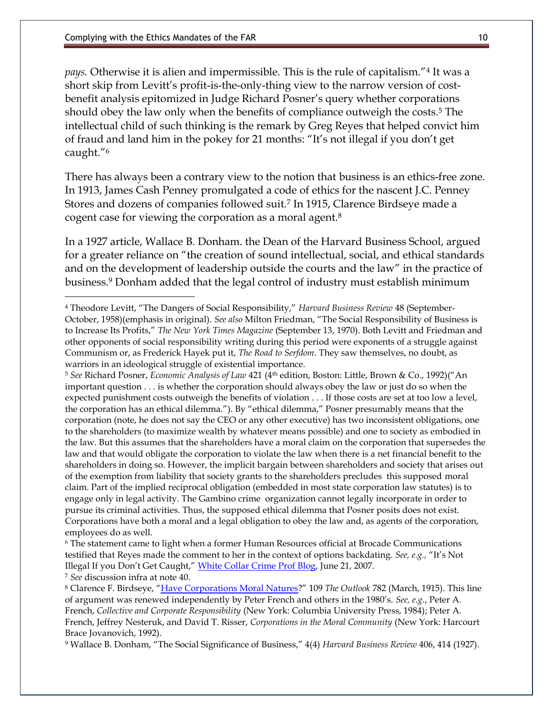*pays.* Otherwise it is alien and impermissible. This is the rule of capitalism."<sup>4</sup> It was a short skip from Levitt's profit-is-the-only-thing view to the narrow version of costbenefit analysis epitomized in Judge Richard Posner's query whether corporations should obey the law only when the benefits of compliance outweigh the costs.<sup>5</sup> The intellectual child of such thinking is the remark by Greg Reyes that helped convict him of fraud and land him in the pokey for 21 months: "It's not illegal if you don't get caught."<sup>6</sup>

There has always been a contrary view to the notion that business is an ethics-free zone. In 1913, James Cash Penney promulgated a code of ethics for the nascent J.C. Penney Stores and dozens of companies followed suit.<sup>7</sup> In 1915, Clarence Birdseye made a cogent case for viewing the corporation as a moral agent.<sup>8</sup>

In a 1927 article, Wallace B. Donham. the Dean of the Harvard Business School, argued for a greater reliance on "the creation of sound intellectual, social, and ethical standards and on the development of leadership outside the courts and the law" in the practice of business.<sup>9</sup> Donham added that the legal control of industry must establish minimum

<sup>5</sup> *See* Richard Posner, *Economic Analysis of Law* 421 (4 th edition, Boston: Little, Brown & Co., 1992)("An important question . . . is whether the corporation should always obey the law or just do so when the expected punishment costs outweigh the benefits of violation . . . If those costs are set at too low a level, the corporation has an ethical dilemma."). By "ethical dilemma," Posner presumably means that the corporation (note, he does not say the CEO or any other executive) has two inconsistent obligations, one to the shareholders (to maximize wealth by whatever means possible) and one to society as embodied in the law. But this assumes that the shareholders have a moral claim on the corporation that supersedes the law and that would obligate the corporation to violate the law when there is a net financial benefit to the shareholders in doing so. However, the implicit bargain between shareholders and society that arises out of the exemption from liability that society grants to the shareholders precludes this supposed moral claim. Part of the implied reciprocal obligation (embedded in most state corporation law statutes) is to engage only in legal activity. The Gambino crime organization cannot legally incorporate in order to pursue its criminal activities. Thus, the supposed ethical dilemma that Posner posits does not exist. Corporations have both a moral and a legal obligation to obey the law and, as agents of the corporation, employees do as well.

<sup>9</sup> Wallace B. Donham, "The Social Significance of Business," 4(4) *Harvard Business Review* 406, 414 (1927).

<sup>4</sup> Theodore Levitt, "The Dangers of Social Responsibility," *Harvard Business Review* 48 (September-October, 1958)(emphasis in original). *See also* Milton Friedman, "The Social Responsibility of Business is to Increase Its Profits," *The New York Times Magazine* (September 13, 1970). Both Levitt and Friedman and other opponents of social responsibility writing during this period were exponents of a struggle against Communism or, as Frederick Hayek put it, *The Road to Serfdom*. They saw themselves, no doubt, as warriors in an ideological struggle of existential importance.

<sup>6</sup> The statement came to light when a former Human Resources official at Brocade Communications testified that Reyes made the comment to her in the context of options backdating. *See, e.g.,* "It's Not Illegal If you Don't Get Caught," [White Collar Crime Prof Blog,](http://lawprofessors.typepad.com/whitecollarcrime_blog/2007/06/its-not-illegal.html) June 21, 2007. <sup>7</sup> *See* discussion infra at note 40.

<sup>8</sup> Clarence F. Birdseye, "[Have Corporations Moral Natures](http://books.google.com/books?id=2O0GAQAAIAAJ&pg=PA782&lpg=PA782&dq=Coke+corporations+have+no+soul&source=bl&ots=CxCNI0J4ro&sig=lKCfWqPUiSfJRzPPygWONg4kSLs&hl=en&ei=LnFeTeD3CcGblgfG4-STDA&sa=X&oi=book_result&ct=result&resnum=3&ved=0CCIQ6AEwAg#v=onepage&q=C)?" 109 *The Outlook* 782 (March, 1915). This line of argument was renewed independently by Peter French and others in the 1980's. *See, e.g.*, Peter A. French, *Collective and Corporate Responsibility* (New York: Columbia University Press, 1984); Peter A. French, Jeffrey Nesteruk, and David T. Risser, *Corporations in the Moral Community* (New York: Harcourt Brace Jovanovich, 1992).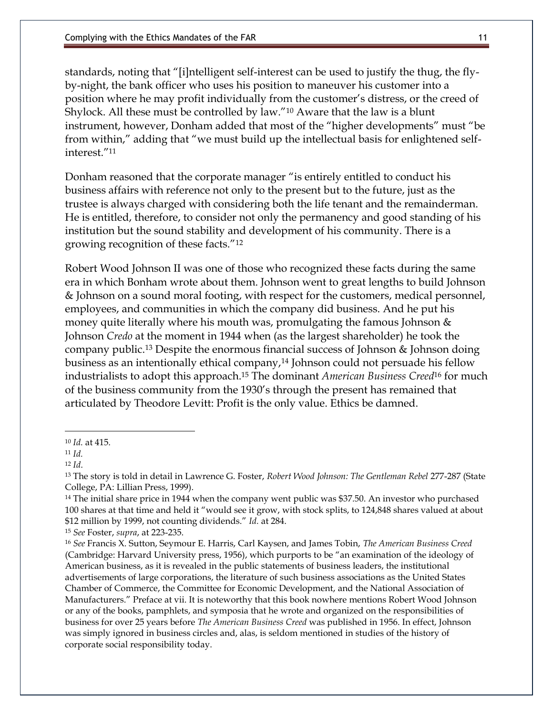standards, noting that "[i]ntelligent self-interest can be used to justify the thug, the flyby-night, the bank officer who uses his position to maneuver his customer into a position where he may profit individually from the customer's distress, or the creed of Shylock. All these must be controlled by law."<sup>10</sup> Aware that the law is a blunt instrument, however, Donham added that most of the "higher developments" must "be from within," adding that "we must build up the intellectual basis for enlightened selfinterest."<sup>11</sup>

Donham reasoned that the corporate manager "is entirely entitled to conduct his business affairs with reference not only to the present but to the future, just as the trustee is always charged with considering both the life tenant and the remainderman. He is entitled, therefore, to consider not only the permanency and good standing of his institution but the sound stability and development of his community. There is a growing recognition of these facts."<sup>12</sup>

Robert Wood Johnson II was one of those who recognized these facts during the same era in which Bonham wrote about them. Johnson went to great lengths to build Johnson & Johnson on a sound moral footing, with respect for the customers, medical personnel, employees, and communities in which the company did business. And he put his money quite literally where his mouth was, promulgating the famous Johnson & Johnson *Credo* at the moment in 1944 when (as the largest shareholder) he took the company public.<sup>13</sup> Despite the enormous financial success of Johnson & Johnson doing business as an intentionally ethical company,<sup>14</sup> Johnson could not persuade his fellow industrialists to adopt this approach.<sup>15</sup> The dominant *American Business Creed*<sup>16</sup> for much of the business community from the 1930's through the present has remained that articulated by Theodore Levitt: Profit is the only value. Ethics be damned.

 $\overline{a}$ 

<sup>10</sup> *Id.* at 415.

<sup>11</sup> *Id.*

<sup>12</sup> *Id*.

<sup>13</sup> The story is told in detail in Lawrence G. Foster, *Robert Wood Johnson: The Gentleman Rebel* 277-287 (State College, PA: Lillian Press, 1999).

<sup>&</sup>lt;sup>14</sup> The initial share price in 1944 when the company went public was \$37.50. An investor who purchased 100 shares at that time and held it "would see it grow, with stock splits, to 124,848 shares valued at about \$12 million by 1999, not counting dividends." *Id.* at 284.

<sup>15</sup> *See* Foster, *supra*, at 223-235.

<sup>16</sup> *See* Francis X. Sutton, Seymour E. Harris, Carl Kaysen, and James Tobin, *The American Business Creed* (Cambridge: Harvard University press, 1956), which purports to be "an examination of the ideology of American business, as it is revealed in the public statements of business leaders, the institutional advertisements of large corporations, the literature of such business associations as the United States Chamber of Commerce, the Committee for Economic Development, and the National Association of Manufacturers." Preface at vii. It is noteworthy that this book nowhere mentions Robert Wood Johnson or any of the books, pamphlets, and symposia that he wrote and organized on the responsibilities of business for over 25 years before *The American Business Creed* was published in 1956. In effect, Johnson was simply ignored in business circles and, alas, is seldom mentioned in studies of the history of corporate social responsibility today.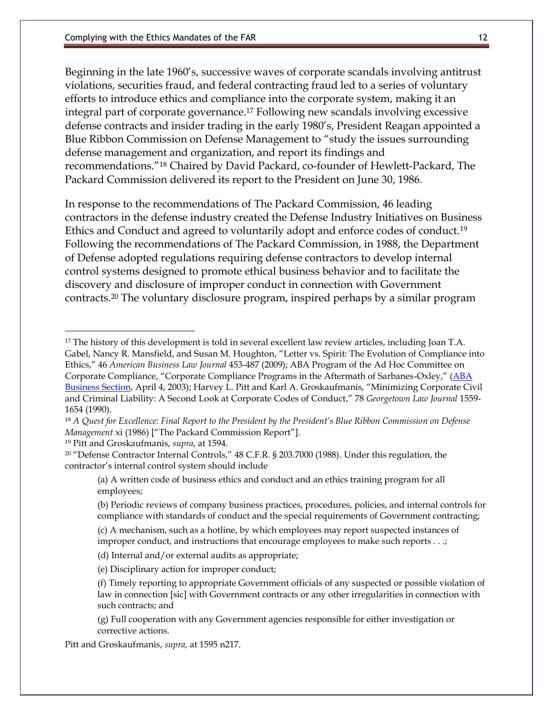Beginning in the late 1960's, successive waves of corporate scandals involving antitrust violations, securities fraud, and federal contracting fraud led to a series of voluntary efforts to introduce ethics and compliance into the corporate system, making it an integral part of corporate governance. <sup>17</sup> Following new scandals involving excessive defense contracts and insider trading in the early 1980's, President Reagan appointed a Blue Ribbon Commission on Defense Management to "study the issues surrounding defense management and organization, and report its findings and recommendations."<sup>18</sup> Chaired by David Packard, co-founder of Hewlett-Packard, The Packard Commission delivered its report to the President on June 30, 1986.

In response to the recommendations of The Packard Commission, 46 leading contractors in the defense industry created the Defense Industry Initiatives on Business Ethics and Conduct and agreed to voluntarily adopt and enforce codes of conduct. 19 Following the recommendations of The Packard Commission, in 1988, the Department of Defense adopted regulations requiring defense contractors to develop internal control systems designed to promote ethical business behavior and to facilitate the discovery and disclosure of improper conduct in connection with Government contracts.<sup>20</sup> The voluntary disclosure program, inspired perhaps by a similar program

 $\overline{a}$ 

<sup>&</sup>lt;sup>17</sup> The history of this development is told in several excellent law review articles, including Joan T.A. Gabel, Nancy R. Mansfield, and Susan M. Houghton, "Letter vs. Spirit: The Evolution of Compliance into Ethics," 46 *American Business Law Journal* 453-487 (2009); ABA Program of the Ad Hoc Committee on Corporate Compliance, "Corporate Compliance Programs in the Aftermath of Sarbanes-Oxley," ([ABA](http://apps.americanbar.org/buslaw/newsletter/0013/materials/aftermath.pdf)  [Business Section,](http://apps.americanbar.org/buslaw/newsletter/0013/materials/aftermath.pdf) April 4, 2003); Harvey L. Pitt and Karl A. Groskaufmanis, "Minimizing Corporate Civil and Criminal Liability: A Second Look at Corporate Codes of Conduct," 78 *Georgetown Law Journal* 1559- 1654 (1990).

<sup>18</sup> *A Quest for Excellence: Final Report to the President by the President's Blue Ribbon Commission on Defense Management* xi (1986) ["The Packard Commission Report"].

<sup>19</sup> Pitt and Groskaufmanis, *supra*, at 1594.

<sup>20</sup> "Defense Contractor Internal Controls," 48 C.F.R. § 203.7000 (1988). Under this regulation, the contractor's internal control system should include

<sup>(</sup>a) A written code of business ethics and conduct and an ethics training program for all employees;

<sup>(</sup>b) Periodic reviews of company business practices, procedures, policies, and internal controls for compliance with standards of conduct and the special requirements of Government contracting;

<sup>(</sup>c) A mechanism, such as a hotline, by which employees may report suspected instances of improper conduct, and instructions that encourage employees to make such reports . . .;

<sup>(</sup>d) Internal and/or external audits as appropriate;

<sup>(</sup>e) Disciplinary action for improper conduct;

<sup>(</sup>f) Timely reporting to appropriate Government officials of any suspected or possible violation of law in connection [sic] with Government contracts or any other irregularities in connection with such contracts; and

<sup>(</sup>g) Full cooperation with any Government agencies responsible for either investigation or corrective actions.

Pitt and Groskaufmanis, *supra,* at 1595 n217.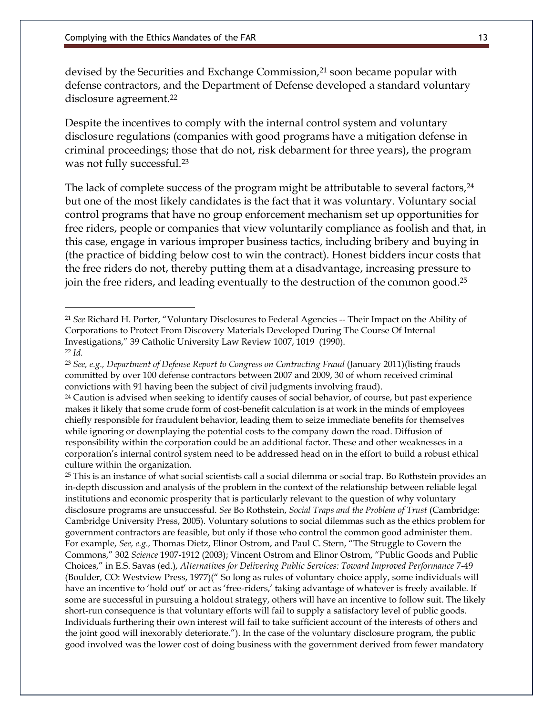devised by the Securities and Exchange Commission,<sup>21</sup> soon became popular with defense contractors, and the Department of Defense developed a standard voluntary disclosure agreement.<sup>22</sup>

Despite the incentives to comply with the internal control system and voluntary disclosure regulations (companies with good programs have a mitigation defense in criminal proceedings; those that do not, risk debarment for three years), the program was not fully successful.<sup>23</sup>

The lack of complete success of the program might be attributable to several factors, <sup>24</sup> but one of the most likely candidates is the fact that it was voluntary. Voluntary social control programs that have no group enforcement mechanism set up opportunities for free riders, people or companies that view voluntarily compliance as foolish and that, in this case, engage in various improper business tactics, including bribery and buying in (the practice of bidding below cost to win the contract). Honest bidders incur costs that the free riders do not, thereby putting them at a disadvantage, increasing pressure to join the free riders, and leading eventually to the destruction of the common good. 25

<sup>25</sup> This is an instance of what social scientists call a social dilemma or social trap. Bo Rothstein provides an in-depth discussion and analysis of the problem in the context of the relationship between reliable legal institutions and economic prosperity that is particularly relevant to the question of why voluntary disclosure programs are unsuccessful. *See* Bo Rothstein, *Social Traps and the Problem of Trust* (Cambridge: Cambridge University Press, 2005). Voluntary solutions to social dilemmas such as the ethics problem for government contractors are feasible, but only if those who control the common good administer them. For example, *See, e.g.,* Thomas Dietz, Elinor Ostrom, and Paul C. Stern, "The Struggle to Govern the Commons," 302 *Science* 1907-1912 (2003); Vincent Ostrom and Elinor Ostrom, "Public Goods and Public Choices," in E.S. Savas (ed.), *Alternatives for Delivering Public Services: Toward Improved Performance* 7-49 (Boulder, CO: Westview Press, 1977)(" So long as rules of voluntary choice apply, some individuals will have an incentive to 'hold out' or act as 'free-riders,' taking advantage of whatever is freely available. If some are successful in pursuing a holdout strategy, others will have an incentive to follow suit. The likely short-run consequence is that voluntary efforts will fail to supply a satisfactory level of public goods. Individuals furthering their own interest will fail to take sufficient account of the interests of others and the joint good will inexorably deteriorate."). In the case of the voluntary disclosure program, the public good involved was the lower cost of doing business with the government derived from fewer mandatory

<sup>21</sup> *See* Richard H. Porter, "Voluntary Disclosures to Federal Agencies -- Their Impact on the Ability of Corporations to Protect From Discovery Materials Developed During The Course Of Internal Investigations," 39 Catholic University Law Review 1007, 1019 (1990). <sup>22</sup> *Id.*

<sup>&</sup>lt;sup>23</sup> *See, e.g., Department of Defense Report to Congress on Contracting Fraud (January 2011)(listing frauds* committed by over 100 defense contractors between 2007 and 2009, 30 of whom received criminal convictions with 91 having been the subject of civil judgments involving fraud).

<sup>&</sup>lt;sup>24</sup> Caution is advised when seeking to identify causes of social behavior, of course, but past experience makes it likely that some crude form of cost-benefit calculation is at work in the minds of employees chiefly responsible for fraudulent behavior, leading them to seize immediate benefits for themselves while ignoring or downplaying the potential costs to the company down the road. Diffusion of responsibility within the corporation could be an additional factor. These and other weaknesses in a corporation's internal control system need to be addressed head on in the effort to build a robust ethical culture within the organization.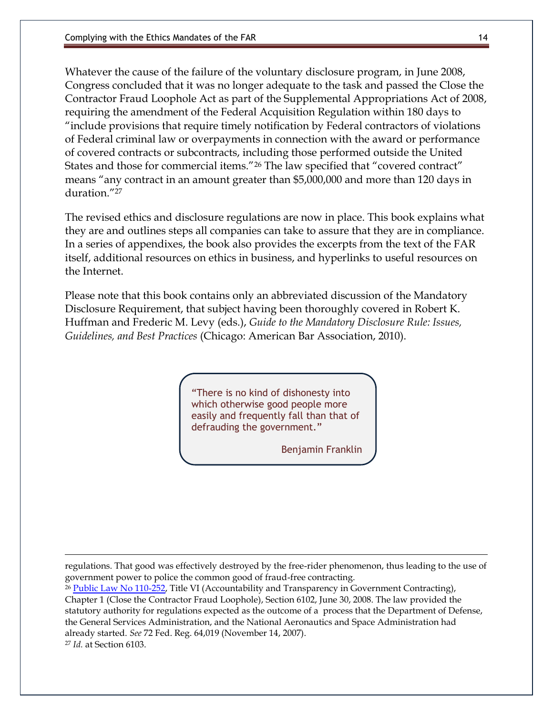Whatever the cause of the failure of the voluntary disclosure program, in June 2008, Congress concluded that it was no longer adequate to the task and passed the Close the Contractor Fraud Loophole Act as part of the Supplemental Appropriations Act of 2008, requiring the amendment of the Federal Acquisition Regulation within 180 days to "include provisions that require timely notification by Federal contractors of violations of Federal criminal law or overpayments in connection with the award or performance of covered contracts or subcontracts, including those performed outside the United States and those for commercial items."<sup>26</sup> The law specified that "covered contract" means "any contract in an amount greater than \$5,000,000 and more than 120 days in duration<sup>"27</sup>

The revised ethics and disclosure regulations are now in place. This book explains what they are and outlines steps all companies can take to assure that they are in compliance. In a series of appendixes, the book also provides the excerpts from the text of the FAR itself, additional resources on ethics in business, and hyperlinks to useful resources on the Internet.

Please note that this book contains only an abbreviated discussion of the Mandatory Disclosure Requirement, that subject having been thoroughly covered in Robert K. Huffman and Frederic M. Levy (eds.), *Guide to the Mandatory Disclosure Rule: Issues, Guidelines, and Best Practices* (Chicago: American Bar Association, 2010).

> "There is no kind of dishonesty into which otherwise good people more easily and frequently fall than that of defrauding the government."

> > Benjamin Franklin

regulations. That good was effectively destroyed by the free-rider phenomenon, thus leading to the use of government power to police the common good of fraud-free contracting.

<sup>26</sup> [Public Law No 110-252,](http://frwebgate.access.gpo.gov/cgi-bin/getdoc.cgi?dbname=110_cong_public_laws&docid=f:publ252.110.pdf) Title VI (Accountability and Transparency in Government Contracting), Chapter 1 (Close the Contractor Fraud Loophole), Section 6102, June 30, 2008. The law provided the statutory authority for regulations expected as the outcome of a process that the Department of Defense, the General Services Administration, and the National Aeronautics and Space Administration had already started. *See* 72 Fed. Reg. 64,019 (November 14, 2007). <sup>27</sup> *Id.* at Section 6103.